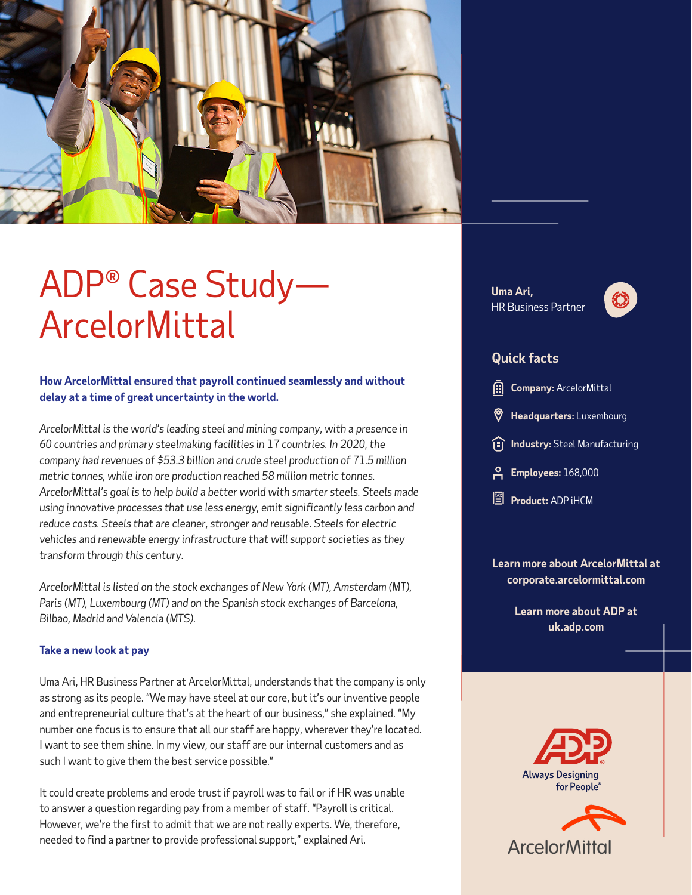

## ADP® Case Study— ArcelorMittal

#### **How ArcelorMittal ensured that payroll continued seamlessly and without delay at a time of great uncertainty in the world.**

*ArcelorMittal is the world's leading steel and mining company, with a presence in 60 countries and primary steelmaking facilities in 17 countries. In 2020, the company had revenues of \$53.3 billion and crude steel production of 71.5 million metric tonnes, while iron ore production reached 58 million metric tonnes. ArcelorMittal's goal is to help build a better world with smarter steels. Steels made using innovative processes that use less energy, emit significantly less carbon and reduce costs. Steels that are cleaner, stronger and reusable. Steels for electric vehicles and renewable energy infrastructure that will support societies as they transform through this century.*

*ArcelorMittal is listed on the stock exchanges of New York (MT), Amsterdam (MT), Paris (MT), Luxembourg (MT) and on the Spanish stock exchanges of Barcelona, Bilbao, Madrid and Valencia (MTS).* 

#### **Take a new look at pay**

Uma Ari, HR Business Partner at ArcelorMittal, understands that the company is only as strong as its people. "We may have steel at our core, but it's our inventive people and entrepreneurial culture that's at the heart of our business," she explained. "My number one focus is to ensure that all our staff are happy, wherever they're located. I want to see them shine. In my view, our staff are our internal customers and as such I want to give them the best service possible."

It could create problems and erode trust if payroll was to fail or if HR was unable to answer a question regarding pay from a member of staff. "Payroll is critical. However, we're the first to admit that we are not really experts. We, therefore, needed to find a partner to provide professional support," explained Ari.

**Uma Ari,** HR Business Partner



### **Quick facts**

| <b>Company:</b> ArcelorMittal |  |
|-------------------------------|--|
|                               |  |

- **Headquarters:** Luxembourg
- **II** Industry: Steel Manufacturing
- **Employees:** 168,000
- **E** Product: ADP **iHCM**

**Learn more about ArcelorMittal at [corporate.arcelormittal.com](https://corporate.arcelormittal.com/)**

> **Learn more about ADP at [uk.adp.com](http://uk.adp.com)**